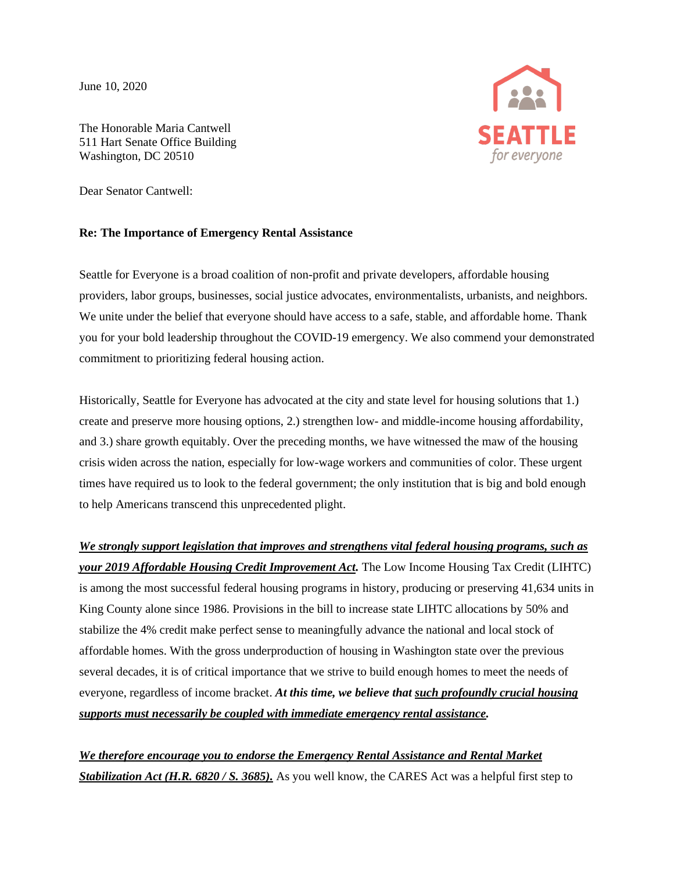June 10, 2020



The Honorable Maria Cantwell 511 Hart Senate Office Building Washington, DC 20510

Dear Senator Cantwell:

## **Re: The Importance of Emergency Rental Assistance**

Seattle for Everyone is a broad coalition of non-profit and private developers, affordable housing providers, labor groups, businesses, social justice advocates, environmentalists, urbanists, and neighbors. We unite under the belief that everyone should have access to a safe, stable, and affordable home. Thank you for your bold leadership throughout the COVID-19 emergency. We also commend your demonstrated commitment to prioritizing federal housing action.

Historically, Seattle for Everyone has advocated at the city and state level for housing solutions that 1.) create and preserve more housing options, 2.) strengthen low- and middle-income housing affordability, and 3.) share growth equitably. Over the preceding months, we have witnessed the maw of the housing crisis widen across the nation, especially for low-wage workers and communities of color. These urgent times have required us to look to the federal government; the only institution that is big and bold enough to help Americans transcend this unprecedented plight.

*We strongly support legislation that improves and strengthens vital federal housing programs, such as your 2019 Affordable Housing Credit Improvement Act.* The Low Income Housing Tax Credit (LIHTC) is among the most successful federal housing programs in history, producing or preserving 41,634 units in King County alone since 1986. Provisions in the bill to increase state LIHTC allocations by 50% and stabilize the 4% credit make perfect sense to meaningfully advance the national and local stock of affordable homes. With the gross underproduction of housing in Washington state over the previous several decades, it is of critical importance that we strive to build enough homes to meet the needs of everyone, regardless of income bracket. *At this time, we believe that such profoundly crucial housing supports must necessarily be coupled with immediate emergency rental assistance.*

*We therefore encourage you to endorse the Emergency Rental Assistance and Rental Market Stabilization Act (H.R. 6820 / S. 3685).* As you well know, the CARES Act was a helpful first step to